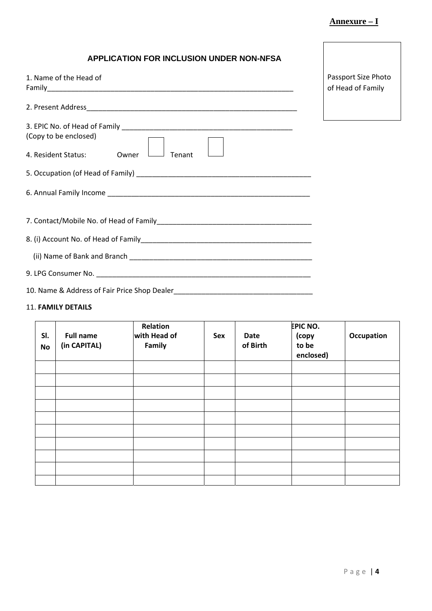| <b>APPLICATION FOR INCLUSION UNDER NON-NFSA</b>                 |                                          |
|-----------------------------------------------------------------|------------------------------------------|
| 1. Name of the Head of                                          | Passport Size Photo<br>of Head of Family |
|                                                                 |                                          |
| (Copy to be enclosed)<br>4. Resident Status:<br>Tenant<br>Owner |                                          |
|                                                                 |                                          |
|                                                                 |                                          |
|                                                                 |                                          |
|                                                                 |                                          |
|                                                                 |                                          |
|                                                                 |                                          |
| 10. Name & Address of Fair Price Shop Dealer                    |                                          |

## 11. **FAMILY DETAILS**

| SI.<br><b>No</b> | <b>Full name</b><br>(in CAPITAL) | Relation<br>with Head of<br>Family | Sex | <b>Date</b><br>of Birth | <b>EPIC NO.</b><br>(copy<br>to be<br>enclosed) | <b>Occupation</b> |
|------------------|----------------------------------|------------------------------------|-----|-------------------------|------------------------------------------------|-------------------|
|                  |                                  |                                    |     |                         |                                                |                   |
|                  |                                  |                                    |     |                         |                                                |                   |
|                  |                                  |                                    |     |                         |                                                |                   |
|                  |                                  |                                    |     |                         |                                                |                   |